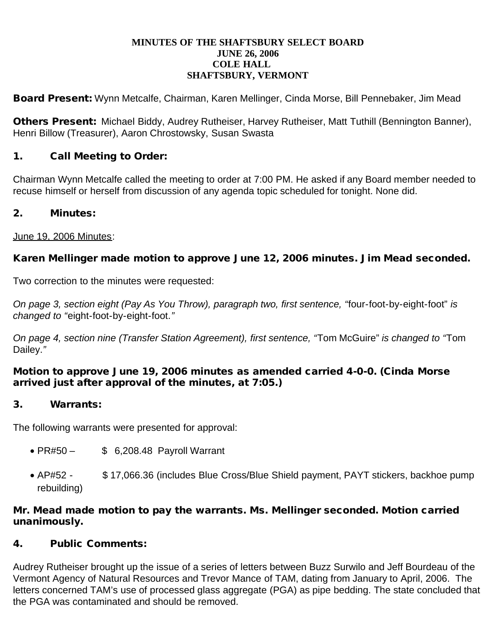#### **MINUTES OF THE SHAFTSBURY SELECT BOARD JUNE 26, 2006 COLE HALL SHAFTSBURY, VERMONT**

Board Present: Wynn Metcalfe, Chairman, Karen Mellinger, Cinda Morse, Bill Pennebaker, Jim Mead

Others Present: Michael Biddy, Audrey Rutheiser, Harvey Rutheiser, Matt Tuthill (Bennington Banner), Henri Billow (Treasurer), Aaron Chrostowsky, Susan Swasta

## 1. Call Meeting to Order:

Chairman Wynn Metcalfe called the meeting to order at 7:00 PM. He asked if any Board member needed to recuse himself or herself from discussion of any agenda topic scheduled for tonight. None did.

### 2. Minutes:

June 19, 2006 Minutes:

## Karen Mellinger made motion to approve June 12, 2006 minutes. Jim Mead seconded.

Two correction to the minutes were requested:

*On page 3, section eight (Pay As You Throw), paragraph two, first sentence, "*four-foot-by-eight-foot" *is changed to "*eight-foot-by-eight-foot.*"*

*On page 4, section nine (Transfer Station Agreement), first sentence, "*Tom McGuire" *is changed to "*Tom Dailey.*"*

#### Motion to approve June 19, 2006 minutes as amended carried 4-0-0. (Cinda Morse arrived just after approval of the minutes, at 7:05.)

### 3. Warrants:

The following warrants were presented for approval:

- PR#50 \$ 6,208.48 Payroll Warrant
- AP#52 \$17,066.36 (includes Blue Cross/Blue Shield payment, PAYT stickers, backhoe pump rebuilding)

#### Mr. Mead made motion to pay the warrants. Ms. Mellinger seconded. Motion carried unanimously.

### 4. Public Comments:

Audrey Rutheiser brought up the issue of a series of letters between Buzz Surwilo and Jeff Bourdeau of the Vermont Agency of Natural Resources and Trevor Mance of TAM, dating from January to April, 2006. The letters concerned TAM's use of processed glass aggregate (PGA) as pipe bedding. The state concluded that the PGA was contaminated and should be removed.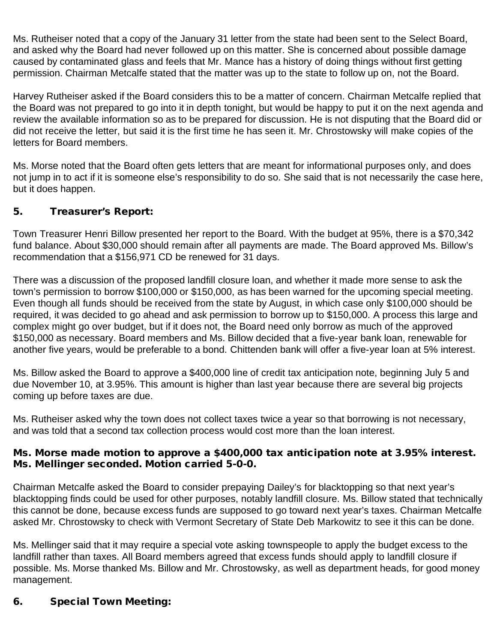Ms. Rutheiser noted that a copy of the January 31 letter from the state had been sent to the Select Board, and asked why the Board had never followed up on this matter. She is concerned about possible damage caused by contaminated glass and feels that Mr. Mance has a history of doing things without first getting permission. Chairman Metcalfe stated that the matter was up to the state to follow up on, not the Board.

Harvey Rutheiser asked if the Board considers this to be a matter of concern. Chairman Metcalfe replied that the Board was not prepared to go into it in depth tonight, but would be happy to put it on the next agenda and review the available information so as to be prepared for discussion. He is not disputing that the Board did or did not receive the letter, but said it is the first time he has seen it. Mr. Chrostowsky will make copies of the letters for Board members.

Ms. Morse noted that the Board often gets letters that are meant for informational purposes only, and does not jump in to act if it is someone else's responsibility to do so. She said that is not necessarily the case here, but it does happen.

## 5. Treasurer's Report:

Town Treasurer Henri Billow presented her report to the Board. With the budget at 95%, there is a \$70,342 fund balance. About \$30,000 should remain after all payments are made. The Board approved Ms. Billow's recommendation that a \$156,971 CD be renewed for 31 days.

There was a discussion of the proposed landfill closure loan, and whether it made more sense to ask the town's permission to borrow \$100,000 or \$150,000, as has been warned for the upcoming special meeting. Even though all funds should be received from the state by August, in which case only \$100,000 should be required, it was decided to go ahead and ask permission to borrow up to \$150,000. A process this large and complex might go over budget, but if it does not, the Board need only borrow as much of the approved \$150,000 as necessary. Board members and Ms. Billow decided that a five-year bank loan, renewable for another five years, would be preferable to a bond. Chittenden bank will offer a five-year loan at 5% interest.

Ms. Billow asked the Board to approve a \$400,000 line of credit tax anticipation note, beginning July 5 and due November 10, at 3.95%. This amount is higher than last year because there are several big projects coming up before taxes are due.

Ms. Rutheiser asked why the town does not collect taxes twice a year so that borrowing is not necessary, and was told that a second tax collection process would cost more than the loan interest.

#### Ms. Morse made motion to approve a \$400,000 tax anticipation note at 3.95% interest. Ms. Mellinger seconded. Motion carried 5-0-0.

Chairman Metcalfe asked the Board to consider prepaying Dailey's for blacktopping so that next year's blacktopping finds could be used for other purposes, notably landfill closure. Ms. Billow stated that technically this cannot be done, because excess funds are supposed to go toward next year's taxes. Chairman Metcalfe asked Mr. Chrostowsky to check with Vermont Secretary of State Deb Markowitz to see it this can be done.

Ms. Mellinger said that it may require a special vote asking townspeople to apply the budget excess to the landfill rather than taxes. All Board members agreed that excess funds should apply to landfill closure if possible. Ms. Morse thanked Ms. Billow and Mr. Chrostowsky, as well as department heads, for good money management.

# 6. Special Town Meeting: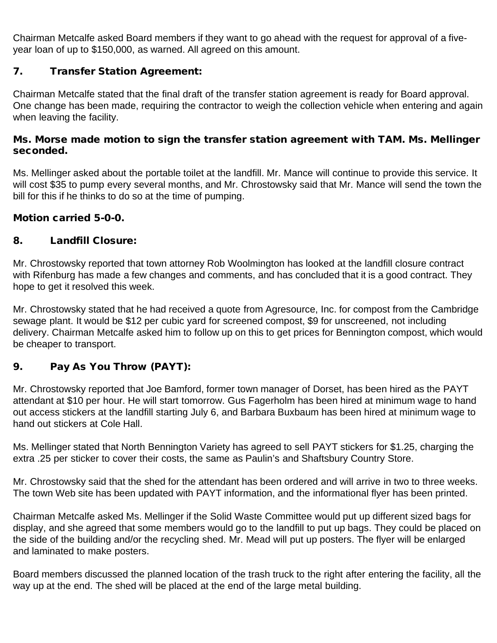Chairman Metcalfe asked Board members if they want to go ahead with the request for approval of a fiveyear loan of up to \$150,000, as warned. All agreed on this amount.

## 7. Transfer Station Agreement:

Chairman Metcalfe stated that the final draft of the transfer station agreement is ready for Board approval. One change has been made, requiring the contractor to weigh the collection vehicle when entering and again when leaving the facility.

#### Ms. Morse made motion to sign the transfer station agreement with TAM. Ms. Mellinger seconded.

Ms. Mellinger asked about the portable toilet at the landfill. Mr. Mance will continue to provide this service. It will cost \$35 to pump every several months, and Mr. Chrostowsky said that Mr. Mance will send the town the bill for this if he thinks to do so at the time of pumping.

## Motion carried 5-0-0.

## 8. Landfill Closure:

Mr. Chrostowsky reported that town attorney Rob Woolmington has looked at the landfill closure contract with Rifenburg has made a few changes and comments, and has concluded that it is a good contract. They hope to get it resolved this week.

Mr. Chrostowsky stated that he had received a quote from Agresource, Inc. for compost from the Cambridge sewage plant. It would be \$12 per cubic yard for screened compost, \$9 for unscreened, not including delivery. Chairman Metcalfe asked him to follow up on this to get prices for Bennington compost, which would be cheaper to transport.

# 9. Pay As You Throw (PAYT):

Mr. Chrostowsky reported that Joe Bamford, former town manager of Dorset, has been hired as the PAYT attendant at \$10 per hour. He will start tomorrow. Gus Fagerholm has been hired at minimum wage to hand out access stickers at the landfill starting July 6, and Barbara Buxbaum has been hired at minimum wage to hand out stickers at Cole Hall.

Ms. Mellinger stated that North Bennington Variety has agreed to sell PAYT stickers for \$1.25, charging the extra .25 per sticker to cover their costs, the same as Paulin's and Shaftsbury Country Store.

Mr. Chrostowsky said that the shed for the attendant has been ordered and will arrive in two to three weeks. The town Web site has been updated with PAYT information, and the informational flyer has been printed.

Chairman Metcalfe asked Ms. Mellinger if the Solid Waste Committee would put up different sized bags for display, and she agreed that some members would go to the landfill to put up bags. They could be placed on the side of the building and/or the recycling shed. Mr. Mead will put up posters. The flyer will be enlarged and laminated to make posters.

Board members discussed the planned location of the trash truck to the right after entering the facility, all the way up at the end. The shed will be placed at the end of the large metal building.